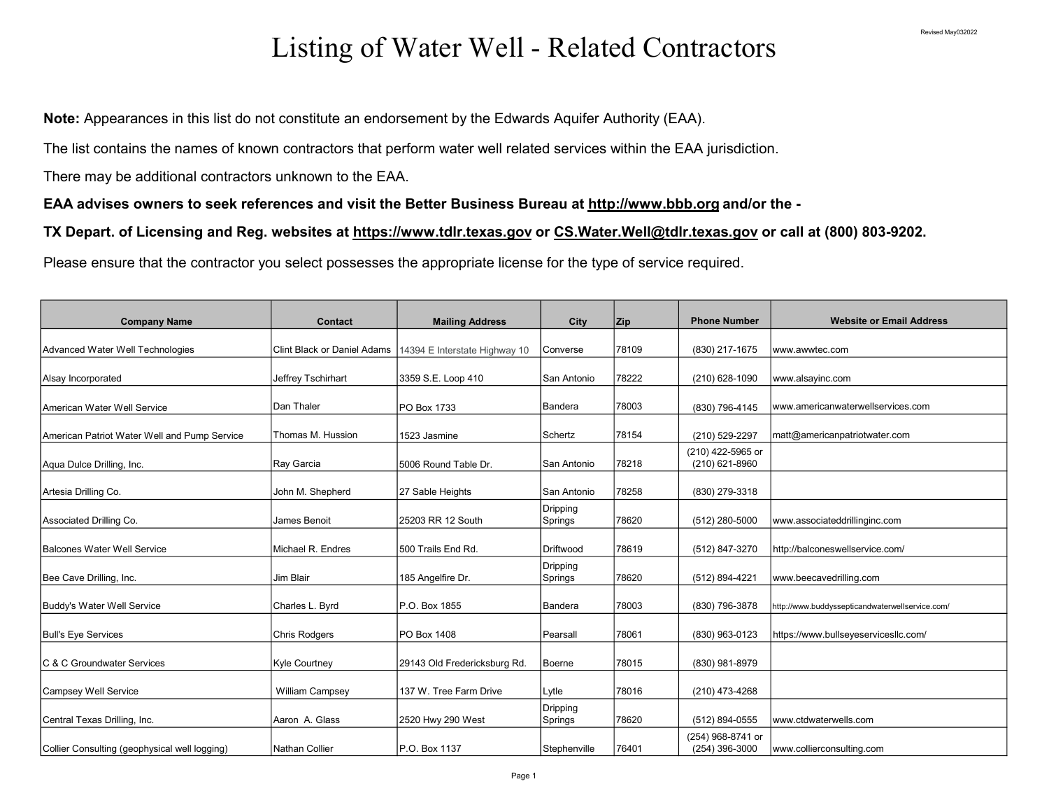## Listing of Water Well - Related Contractors

Note: Appearances in this list do not constitute an endorsement by the Edwards Aquifer Authority (EAA).

The list contains the names of known contractors that perform water well related services within the EAA jurisdiction.

There may be additional contractors unknown to the EAA.

EAA advises owners to seek references and visit the Better Business Bureau at http://www.bbb.org and/or the -

TX Depart. of Licensing and Reg. websites at https://www.tdlr.texas.gov or CS.Water.Well@tdlr.texas.gov or call at (800) 803-9202.

Please ensure that the contractor you select possesses the appropriate license for the type of service required.

| <b>Company Name</b>                           | Contact                            | <b>Mailing Address</b>        | City                | Zip   | <b>Phone Number</b>                 | <b>Website or Email Address</b>                 |
|-----------------------------------------------|------------------------------------|-------------------------------|---------------------|-------|-------------------------------------|-------------------------------------------------|
| Advanced Water Well Technologies              | <b>Clint Black or Daniel Adams</b> | 14394 E Interstate Highway 10 | Converse            | 78109 | (830) 217-1675                      | www.awwtec.com                                  |
| Alsay Incorporated                            | Jeffrey Tschirhart                 | 3359 S.E. Loop 410            | San Antonio         | 78222 | (210) 628-1090                      | www.alsayinc.com                                |
| American Water Well Service                   | Dan Thaler                         | PO Box 1733                   | Bandera             | 78003 | (830) 796-4145                      | www.americanwaterwellservices.com               |
| American Patriot Water Well and Pump Service  | Thomas M. Hussion                  | 1523 Jasmine                  | Schertz             | 78154 | (210) 529-2297                      | matt@americanpatriotwater.com                   |
| Aqua Dulce Drilling, Inc.                     | Ray Garcia                         | 5006 Round Table Dr.          | San Antonio         | 78218 | (210) 422-5965 or<br>(210) 621-8960 |                                                 |
| Artesia Drilling Co.                          | John M. Shepherd                   | 27 Sable Heights              | San Antonio         | 78258 | (830) 279-3318                      |                                                 |
| Associated Drilling Co.                       | James Benoit                       | 25203 RR 12 South             | Dripping<br>Springs | 78620 | (512) 280-5000                      | www.associateddrillinginc.com                   |
| Balcones Water Well Service                   | Michael R. Endres                  | 1500 Trails End Rd.           | Driftwood           | 78619 | (512) 847-3270                      | http://balconeswellservice.com/                 |
| Bee Cave Drilling, Inc.                       | Jim Blair                          | 185 Angelfire Dr.             | Dripping<br>Springs | 78620 | (512) 894-4221                      | www.beecavedrilling.com                         |
| Buddy's Water Well Service                    | Charles L. Byrd                    | P.O. Box 1855                 | Bandera             | 78003 | (830) 796-3878                      | http://www.buddyssepticandwaterwellservice.com/ |
| <b>Bull's Eye Services</b>                    | <b>Chris Rodgers</b>               | <b>PO Box 1408</b>            | Pearsall            | 78061 | (830) 963-0123                      | https://www.bullseyeservicesllc.com/            |
| IC & C Groundwater Services                   | Kyle Courtney                      | 29143 Old Fredericksburg Rd.  | Boerne              | 78015 | (830) 981-8979                      |                                                 |
| Campsey Well Service                          | <b>William Campsey</b>             | 137 W. Tree Farm Drive        | Lytle               | 78016 | (210) 473-4268                      |                                                 |
| Central Texas Drilling, Inc.                  | Aaron A. Glass                     | 2520 Hwy 290 West             | Dripping<br>Springs | 78620 | (512) 894-0555                      | www.ctdwaterwells.com                           |
| Collier Consulting (geophysical well logging) | Nathan Collier                     | P.O. Box 1137                 | Stephenville        | 76401 | (254) 968-8741 or<br>(254) 396-3000 | www.collierconsulting.com                       |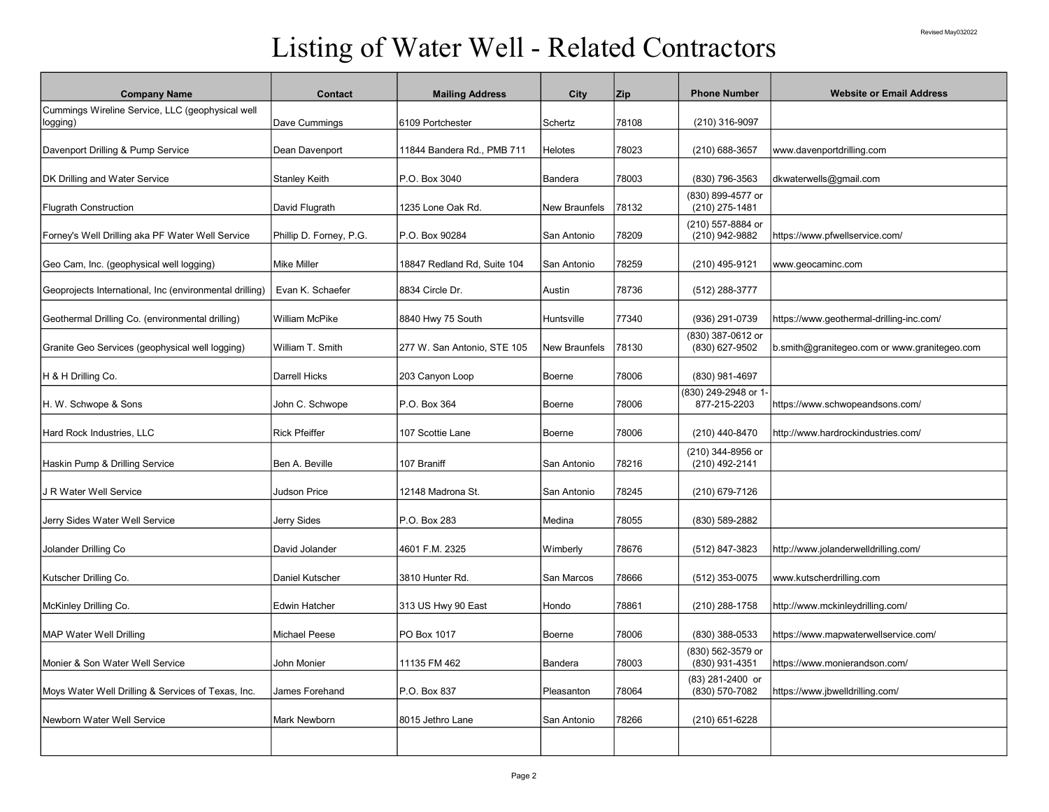## Listing of Water Well - Related Contractors

| <b>Company Name</b>                                     | Contact                 | <b>Mailing Address</b>      | City                 | Zip   | <b>Phone Number</b>                 | <b>Website or Email Address</b>              |
|---------------------------------------------------------|-------------------------|-----------------------------|----------------------|-------|-------------------------------------|----------------------------------------------|
| Cummings Wireline Service, LLC (geophysical well        |                         |                             |                      |       |                                     |                                              |
| logging)                                                | Dave Cummings           | 6109 Portchester            | Schertz              | 78108 | (210) 316-9097                      |                                              |
|                                                         |                         |                             |                      |       |                                     |                                              |
| Davenport Drilling & Pump Service                       | Dean Davenport          | 11844 Bandera Rd., PMB 711  | <b>Helotes</b>       | 78023 | (210) 688-3657                      | www.davenportdrilling.com                    |
| DK Drilling and Water Service                           | Stanley Keith           | P.O. Box 3040               | Bandera              | 78003 | (830) 796-3563                      | dkwaterwells@gmail.com                       |
|                                                         |                         |                             |                      |       | (830) 899-4577 or                   |                                              |
| <b>Flugrath Construction</b>                            | David Flugrath          | 1235 Lone Oak Rd.           | <b>New Braunfels</b> | 78132 | (210) 275-1481                      |                                              |
|                                                         |                         |                             |                      |       | (210) 557-8884 or                   |                                              |
| Forney's Well Drilling aka PF Water Well Service        | Phillip D. Forney, P.G. | P.O. Box 90284              | San Antonio          | 78209 | (210) 942-9882                      | https://www.pfwellservice.com/               |
| Geo Cam, Inc. (geophysical well logging)                | <b>Mike Miller</b>      | 18847 Redland Rd, Suite 104 | San Antonio          | 78259 | (210) 495-9121                      | www.geocaminc.com                            |
|                                                         |                         |                             |                      |       |                                     |                                              |
| Geoprojects International, Inc (environmental drilling) | Evan K. Schaefer        | 8834 Circle Dr.             | Austin               | 78736 | (512) 288-3777                      |                                              |
| Geothermal Drilling Co. (environmental drilling)        | William McPike          | 8840 Hwy 75 South           | Huntsville           | 77340 | (936) 291-0739                      | https://www.geothermal-drilling-inc.com/     |
|                                                         |                         |                             |                      |       | (830) 387-0612 or                   |                                              |
| Granite Geo Services (geophysical well logging)         | William T. Smith        | 277 W. San Antonio, STE 105 | New Braunfels        | 78130 | (830) 627-9502                      | b.smith@granitegeo.com or www.granitegeo.com |
|                                                         |                         |                             |                      |       |                                     |                                              |
| H & H Drilling Co.                                      | Darrell Hicks           | 203 Canyon Loop             | Boerne               | 78006 | (830) 981-4697                      |                                              |
| H. W. Schwope & Sons                                    | John C. Schwope         | P.O. Box 364                | <b>Boerne</b>        | 78006 | (830) 249-2948 or 1<br>877-215-2203 | https://www.schwopeandsons.com/              |
|                                                         |                         |                             |                      |       |                                     |                                              |
| Hard Rock Industries, LLC                               | <b>Rick Pfeiffer</b>    | 107 Scottie Lane            | Boerne               | 78006 | (210) 440-8470                      | http://www.hardrockindustries.com/           |
|                                                         |                         |                             |                      |       | (210) 344-8956 or                   |                                              |
| Haskin Pump & Drilling Service                          | Ben A. Beville          | 107 Braniff                 | San Antonio          | 78216 | (210) 492-2141                      |                                              |
|                                                         |                         |                             |                      |       |                                     |                                              |
| J R Water Well Service                                  | <b>Judson Price</b>     | 12148 Madrona St.           | San Antonio          | 78245 | (210) 679-7126                      |                                              |
| Jerry Sides Water Well Service                          | Jerry Sides             | P.O. Box 283                | Medina               | 78055 | (830) 589-2882                      |                                              |
|                                                         |                         |                             |                      |       |                                     |                                              |
| Jolander Drilling Co                                    | David Jolander          | 4601 F.M. 2325              | Wimberly             | 78676 | (512) 847-3823                      | http://www.jolanderwelldrilling.com/         |
|                                                         |                         |                             |                      |       |                                     |                                              |
| Kutscher Drilling Co.                                   | <b>Daniel Kutscher</b>  | 3810 Hunter Rd.             | San Marcos           | 78666 | (512) 353-0075                      | www.kutscherdrilling.com                     |
| McKinley Drilling Co.                                   | <b>Edwin Hatcher</b>    | 313 US Hwy 90 East          | Hondo                | 78861 | (210) 288-1758                      | http://www.mckinleydrilling.com/             |
|                                                         |                         |                             |                      |       |                                     |                                              |
| <b>MAP Water Well Drilling</b>                          | Michael Peese           | PO Box 1017                 | Boerne               | 78006 | (830) 388-0533                      | https://www.mapwaterwellservice.com/         |
|                                                         |                         |                             |                      |       | (830) 562-3579 or                   |                                              |
| Monier & Son Water Well Service                         | John Monier             | 11135 FM 462                | Bandera              | 78003 | (830) 931-4351                      | https://www.monierandson.com/                |
| Moys Water Well Drilling & Services of Texas, Inc.      | James Forehand          | P.O. Box 837                | Pleasanton           | 78064 | (83) 281-2400 or<br>(830) 570-7082  | https://www.jbwelldrilling.com/              |
|                                                         |                         |                             |                      |       |                                     |                                              |
| Newborn Water Well Service                              | Mark Newborn            | 8015 Jethro Lane            | San Antonio          | 78266 | (210) 651-6228                      |                                              |
|                                                         |                         |                             |                      |       |                                     |                                              |
|                                                         |                         |                             |                      |       |                                     |                                              |